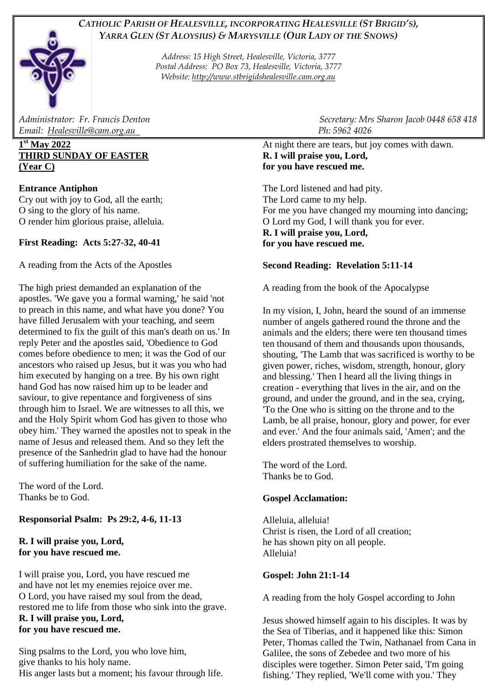# *CATHOLIC PARISH OF HEALESVILLE, INCORPORATING HEALESVILLE (ST BRIGID'S), YARRA GLEN (ST ALOYSIUS) & MARYSVILLE (OUR LADY OF THE SNOWS)*

*Address: 15 High Street, Healesville, Victoria, 3777 Postal Address: PO Box 73, Healesville, Victoria, 3777 Website: [http://www.stbrigidshealesville.cam.org.au](http://www.stbrigidshealesville.cam.org.au/)*

*Email: [Healesville@cam.org.au](mailto:Healesville@cam.org.au) Ph: 5962 4026* 

## **1 st May 2022 THIRD SUNDAY OF EASTER (Year C)**

## **Entrance Antiphon**

Cry out with joy to God, all the earth; O sing to the glory of his name. O render him glorious praise, alleluia.

## **First Reading: Acts 5:27-32, 40-41**

A reading from the Acts of the Apostles

The high priest demanded an explanation of the apostles. 'We gave you a formal warning,' he said 'not to preach in this name, and what have you done? You have filled Jerusalem with your teaching, and seem determined to fix the guilt of this man's death on us.' In reply Peter and the apostles said, 'Obedience to God comes before obedience to men; it was the God of our ancestors who raised up Jesus, but it was you who had him executed by hanging on a tree. By his own right hand God has now raised him up to be leader and saviour, to give repentance and forgiveness of sins through him to Israel. We are witnesses to all this, we and the Holy Spirit whom God has given to those who obey him.' They warned the apostles not to speak in the name of Jesus and released them. And so they left the presence of the Sanhedrin glad to have had the honour of suffering humiliation for the sake of the name.

The word of the Lord. Thanks be to God.

## **Responsorial Psalm: Ps 29:2, 4-6, 11-13**

#### **R. I will praise you, Lord, for you have rescued me.**

I will praise you, Lord, you have rescued me and have not let my enemies rejoice over me. O Lord, you have raised my soul from the dead, restored me to life from those who sink into the grave. **R. I will praise you, Lord, for you have rescued me.**

Sing psalms to the Lord, you who love him, give thanks to his holy name. His anger lasts but a moment; his favour through life.

*Administrator: Fr. Francis Denton* Secretary: Mrs Sharon Jacob 0448 658 418<br>
Email: Healesville@cam.org.au

At night there are tears, but joy comes with dawn. **R. I will praise you, Lord, for you have rescued me.**

The Lord listened and had pity. The Lord came to my help. For me you have changed my mourning into dancing; O Lord my God, I will thank you for ever. **R. I will praise you, Lord, for you have rescued me.**

## **Second Reading: Revelation 5:11-14**

A reading from the book of the Apocalypse

In my vision, I, John, heard the sound of an immense number of angels gathered round the throne and the animals and the elders; there were ten thousand times ten thousand of them and thousands upon thousands, shouting, 'The Lamb that was sacrificed is worthy to be given power, riches, wisdom, strength, honour, glory and blessing.' Then I heard all the living things in creation - everything that lives in the air, and on the ground, and under the ground, and in the sea, crying, 'To the One who is sitting on the throne and to the Lamb, be all praise, honour, glory and power, for ever and ever.' And the four animals said, 'Amen'; and the elders prostrated themselves to worship.

The word of the Lord. Thanks be to God.

#### **Gospel Acclamation:**

Alleluia, alleluia! Christ is risen, the Lord of all creation; he has shown pity on all people. Alleluia!

#### **Gospel: John 21:1-14**

A reading from the holy Gospel according to John

Jesus showed himself again to his disciples. It was by the Sea of Tiberias, and it happened like this: Simon Peter, Thomas called the Twin, Nathanael from Cana in Galilee, the sons of Zebedee and two more of his disciples were together. Simon Peter said, 'I'm going fishing.' They replied, 'We'll come with you.' They

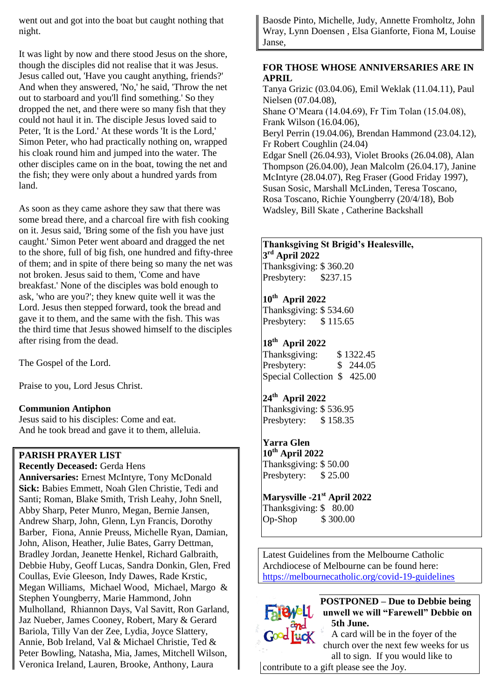went out and got into the boat but caught nothing that night.

It was light by now and there stood Jesus on the shore, though the disciples did not realise that it was Jesus. Jesus called out, 'Have you caught anything, friends?' And when they answered, 'No,' he said, 'Throw the net out to starboard and you'll find something.' So they dropped the net, and there were so many fish that they could not haul it in. The disciple Jesus loved said to Peter, 'It is the Lord.' At these words 'It is the Lord,' Simon Peter, who had practically nothing on, wrapped his cloak round him and jumped into the water. The other disciples came on in the boat, towing the net and the fish; they were only about a hundred yards from land.

As soon as they came ashore they saw that there was some bread there, and a charcoal fire with fish cooking on it. Jesus said, 'Bring some of the fish you have just caught.' Simon Peter went aboard and dragged the net to the shore, full of big fish, one hundred and fifty-three of them; and in spite of there being so many the net was not broken. Jesus said to them, 'Come and have breakfast.' None of the disciples was bold enough to ask, 'who are you?'; they knew quite well it was the Lord. Jesus then stepped forward, took the bread and gave it to them, and the same with the fish. This was the third time that Jesus showed himself to the disciples after rising from the dead.

The Gospel of the Lord.

Praise to you, Lord Jesus Christ.

#### **Communion Antiphon**

Jesus said to his disciples: Come and eat. And he took bread and gave it to them, alleluia.

#### **PARISH PRAYER LIST**

**Recently Deceased:** Gerda Hens **Anniversaries:** Ernest McIntyre, Tony McDonald **Sick:** Babies Emmett, Noah Glen Christie, Tedi and Santi; Roman, Blake Smith, Trish Leahy, John Snell, Abby Sharp, Peter Munro, Megan, Bernie Jansen, Andrew Sharp, John, Glenn, Lyn Francis, Dorothy Barber, Fiona, Annie Preuss, Michelle Ryan, Damian, John, Alison, Heather, Julie Bates, Garry Dettman, Bradley Jordan, Jeanette Henkel, Richard Galbraith, Debbie Huby, Geoff Lucas, Sandra Donkin, Glen, Fred Coullas, Evie Gleeson, Indy Dawes, Rade Krstic, Megan Williams, Michael Wood, Michael, Margo & Stephen Youngberry, Marie Hammond, John Mulholland, Rhiannon Days, Val Savitt, Ron Garland, Jaz Nueber, James Cooney, Robert, Mary & Gerard Bariola, Tilly Van der Zee, Lydia, Joyce Slattery, Annie, Bob Ireland, Val & Michael Christie, Ted & Peter Bowling, Natasha, Mia, James, Mitchell Wilson, Veronica Ireland, Lauren, Brooke, Anthony, Laura

Baosde Pinto, Michelle, Judy, Annette Fromholtz, John Wray, Lynn Doensen , Elsa Gianforte, Fiona M, Louise Janse,

#### **FOR THOSE WHOSE ANNIVERSARIES ARE IN APRIL**

Tanya Grizic (03.04.06), Emil Weklak (11.04.11), Paul Nielsen (07.04.08), Shane O'Meara (14.04.69), Fr Tim Tolan (15.04.08), Frank Wilson (16.04.06), Beryl Perrin (19.04.06), Brendan Hammond (23.04.12), Fr Robert Coughlin (24.04) Edgar Snell (26.04.93), Violet Brooks (26.04.08), Alan Thompson (26.04.00), Jean Malcolm (26.04.17), Janine McIntyre (28.04.07), Reg Fraser (Good Friday 1997), Susan Sosic, Marshall McLinden, Teresa Toscano, Rosa Toscano, Richie Youngberry (20/4/18), Bob Wadsley, Bill Skate , Catherine Backshall

## **Thanksgiving St Brigid's Healesville, 3 rd April 2022**

Thanksgiving: \$ 360.20 Presbytery: \$237.15

## **10th April 2022**

Thanksgiving: \$ 534.60 Presbytery: \$115.65

## **18th April 2022**

Thanksgiving: \$ 1322.45 Presbytery: \$ 244.05 Special Collection \$ 425.00

## **24th April 2022**

Thanksgiving: \$ 536.95 Presbytery: \$158.35

## **Yarra Glen**

**10th April 2022**  Thanksgiving: \$ 50.00 Presbytery: \$25.00

# **Marysville -21st April 2022**

Thanksgiving: \$ 80.00 Op-Shop \$ 300.00

Latest Guidelines from the Melbourne Catholic Archdiocese of Melbourne can be found here: <https://melbournecatholic.org/covid-19-guidelines>



**POSTPONED – Due to Debbie being unwell we will "Farewell" Debbie on 5th June.** 

A card will be in the foyer of the church over the next few weeks for us all to sign. If you would like to

[contribut](https://www.pngall.com/farewell-png)e to a gift please see the Joy.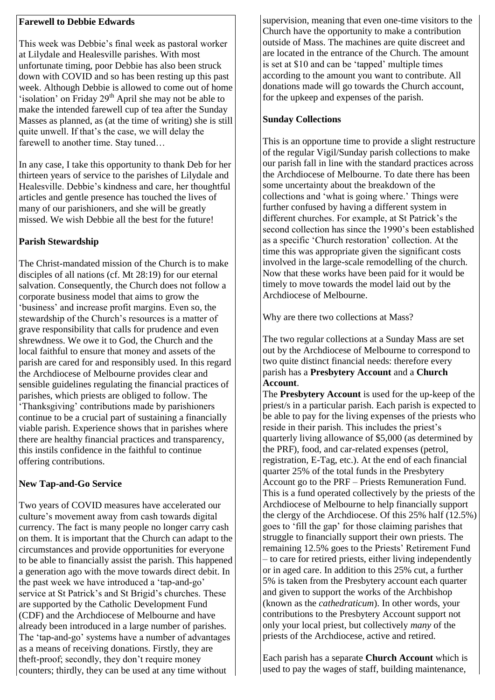#### **Farewell to Debbie Edwards**

This week was Debbie's final week as pastoral worker at Lilydale and Healesville parishes. With most unfortunate timing, poor Debbie has also been struck down with COVID and so has been resting up this past week. Although Debbie is allowed to come out of home 'isolation' on Friday 29<sup>th</sup> April she may not be able to make the intended farewell cup of tea after the Sunday Masses as planned, as (at the time of writing) she is still quite unwell. If that's the case, we will delay the farewell to another time. Stay tuned…

In any case, I take this opportunity to thank Deb for her thirteen years of service to the parishes of Lilydale and Healesville. Debbie's kindness and care, her thoughtful articles and gentle presence has touched the lives of many of our parishioners, and she will be greatly missed. We wish Debbie all the best for the future!

#### **Parish Stewardship**

The Christ-mandated mission of the Church is to make disciples of all nations (cf. Mt 28:19) for our eternal salvation. Consequently, the Church does not follow a corporate business model that aims to grow the 'business' and increase profit margins. Even so, the stewardship of the Church's resources is a matter of grave responsibility that calls for prudence and even shrewdness. We owe it to God, the Church and the local faithful to ensure that money and assets of the parish are cared for and responsibly used. In this regard the Archdiocese of Melbourne provides clear and sensible guidelines regulating the financial practices of parishes, which priests are obliged to follow. The 'Thanksgiving' contributions made by parishioners continue to be a crucial part of sustaining a financially viable parish. Experience shows that in parishes where there are healthy financial practices and transparency, this instils confidence in the faithful to continue offering contributions.

#### **New Tap-and-Go Service**

Two years of COVID measures have accelerated our culture's movement away from cash towards digital currency. The fact is many people no longer carry cash on them. It is important that the Church can adapt to the circumstances and provide opportunities for everyone to be able to financially assist the parish. This happened a generation ago with the move towards direct debit. In the past week we have introduced a 'tap-and-go' service at St Patrick's and St Brigid's churches. These are supported by the Catholic Development Fund (CDF) and the Archdiocese of Melbourne and have already been introduced in a large number of parishes. The 'tap-and-go' systems have a number of advantages as a means of receiving donations. Firstly, they are theft-proof; secondly, they don't require money counters; thirdly, they can be used at any time without

supervision, meaning that even one-time visitors to the Church have the opportunity to make a contribution outside of Mass. The machines are quite discreet and are located in the entrance of the Church. The amount is set at \$10 and can be 'tapped' multiple times according to the amount you want to contribute. All donations made will go towards the Church account, for the upkeep and expenses of the parish.

### **Sunday Collections**

This is an opportune time to provide a slight restructure of the regular Vigil/Sunday parish collections to make our parish fall in line with the standard practices across the Archdiocese of Melbourne. To date there has been some uncertainty about the breakdown of the collections and 'what is going where.' Things were further confused by having a different system in different churches. For example, at St Patrick's the second collection has since the 1990's been established as a specific 'Church restoration' collection. At the time this was appropriate given the significant costs involved in the large-scale remodelling of the church. Now that these works have been paid for it would be timely to move towards the model laid out by the Archdiocese of Melbourne.

Why are there two collections at Mass?

The two regular collections at a Sunday Mass are set out by the Archdiocese of Melbourne to correspond to two quite distinct financial needs: therefore every parish has a **Presbytery Account** and a **Church Account**.

The **Presbytery Account** is used for the up-keep of the priest/s in a particular parish. Each parish is expected to be able to pay for the living expenses of the priests who reside in their parish. This includes the priest's quarterly living allowance of \$5,000 (as determined by the PRF), food, and car-related expenses (petrol, registration, E-Tag, etc.). At the end of each financial quarter 25% of the total funds in the Presbytery Account go to the PRF – Priests Remuneration Fund. This is a fund operated collectively by the priests of the Archdiocese of Melbourne to help financially support the clergy of the Archdiocese. Of this 25% half (12.5%) goes to 'fill the gap' for those claiming parishes that struggle to financially support their own priests. The remaining 12.5% goes to the Priests' Retirement Fund – to care for retired priests, either living independently or in aged care. In addition to this 25% cut, a further 5% is taken from the Presbytery account each quarter and given to support the works of the Archbishop (known as the *cathedraticum*). In other words, your contributions to the Presbytery Account support not only your local priest, but collectively *many* of the priests of the Archdiocese, active and retired.

Each parish has a separate **Church Account** which is used to pay the wages of staff, building maintenance,